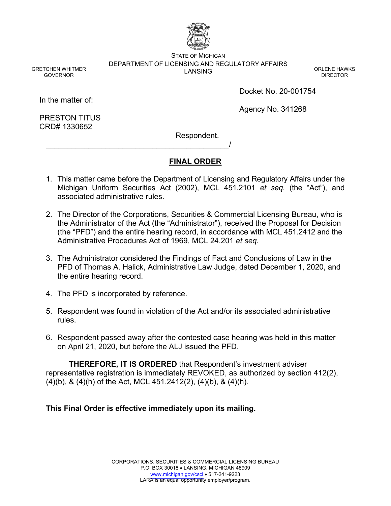

STATE OF MICHIGAN DEPARTMENT OF LICENSING AND REGULATORY AFFAIRS LANSING CONTRACT CONTRACT ON CORLENE HAWKS

DIRECTOR

In the matter of:

GRETCHEN WHITMER GOVERNOR

Docket No. 20-001754

Agency No. 341268

PRESTON TITUS CRD# 1330652

Respondent.

# **FINAL ORDER**

- 1. This matter came before the Department of Licensing and Regulatory Affairs under the Michigan Uniform Securities Act (2002), MCL 451.2101 *et seq.* (the "Act"), and associated administrative rules.
- 2. The Director of the Corporations, Securities & Commercial Licensing Bureau, who is the Administrator of the Act (the "Administrator"), received the Proposal for Decision (the "PFD") and the entire hearing record, in accordance with MCL 451.2412 and the Administrative Procedures Act of 1969, MCL 24.201 *et seq*.
- 3. The Administrator considered the Findings of Fact and Conclusions of Law in the PFD of Thomas A. Halick, Administrative Law Judge, dated December 1, 2020, and the entire hearing record.
- 4. The PFD is incorporated by reference.

\_\_\_\_\_\_\_\_\_\_\_\_\_\_\_\_\_\_\_\_\_\_\_\_\_\_\_\_\_\_\_\_\_\_\_\_\_\_\_\_\_\_\_/

- 5. Respondent was found in violation of the Act and/or its associated administrative rules.
- 6. Respondent passed away after the contested case hearing was held in this matter on April 21, 2020, but before the ALJ issued the PFD.

**THEREFORE, IT IS ORDERED** that Respondent's investment adviser representative registration is immediately REVOKED, as authorized by section 412(2), (4)(b), & (4)(h) of the Act, MCL 451.2412(2), (4)(b), & (4)(h).

# **This Final Order is effective immediately upon its mailing.**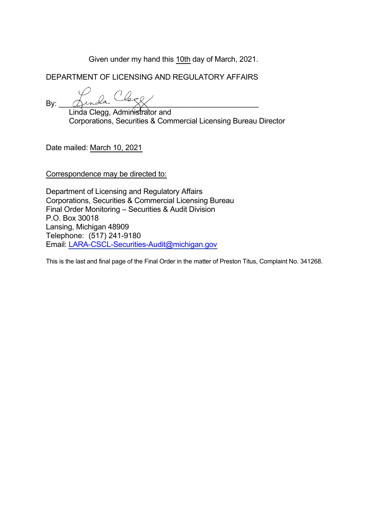Given under my hand this 10th day of March, 2021.

DEPARTMENT OF LICENSING AND REGULATORY AFFAIRS

By:  $\Delta$ unda  $\rightarrow$   $\chi$ 

Linda Clegg, Administrator and Corporations, Securities & Commercial Licensing Bureau Director

Date mailed: March 10, 2021

Correspondence may be directed to:

Department of Licensing and Regulatory Affairs Corporations, Securities & Commercial Licensing Bureau Final Order Monitoring – Securities & Audit Division P.O. Box 30018 Lansing, Michigan 48909 Telephone: (517) 241-9180 Email: [LARA-CSCL-Securities-Audit@michigan.gov](mailto:LARA-CSCL-Securities-Audit@michigan.gov)

This is the last and final page of the Final Order in the matter of Preston Titus, Complaint No. 341268.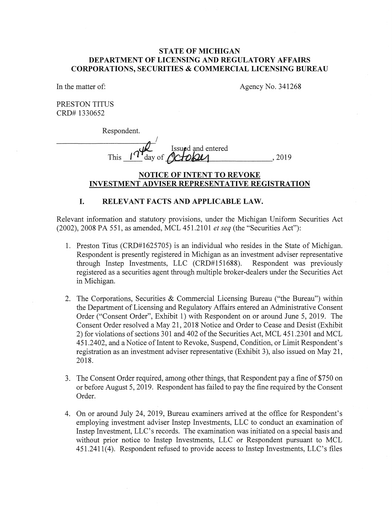### **STATE OF MICHIGAN DEPARTMENT OF LICENSING AND REGULATORY AFFAIRS CORPORATIONS, SECURITIES & COMMERCIAL LICENSING BUREAU**

In the matter of:

Agency No. 341268

PRESTON TITUS CRD# 1330652

Respondent.

I **Issued** and entered This  $1^{\gamma}$  day of  $\alpha$  to  $\omega$  = 2019

### **NOTICE OF INTENT TO REVOKE INVESTMENT ADVISER REPRESENTATIVE REGISTRATION**

#### **I. RELEVANT FACTS AND APPLICABLE LAW.**

Relevant information and statutory provisions, under the Michigan Uniform Securities Act (2002), 2008 PA 551, as amended, MCL 451.2101 *et seq* (the "Securities Act"):

- 1. Preston Titus (CRD#1625705) is an individual who resides in the State of Michigan. Respondent is presently registered in Michigan as an investment adviser representative through Instep Investments, LLC (CRD#151688). Respondent was previously registered as a securities agent through multiple broker-dealers under the Securities Act in Michigan.
- 2. The Corporations, Securities & Commercial Licensing Bureau ("the Bureau") within the Department of Licensing and Regulatory Affairs entered an Administrative Consent Order ("Consent Order", Exhibit 1) with Respondent on or around June 5, 2019. The Consent Order resolved a May 21, 2018 Notice and Order to Cease and Desist (Exhibit 2) for violations of sections 301 and 402 of the Securities Act, MCL 451.2301 and MCL 451.2402, and a Notice of Intent to Revoke, Suspend, Condition, or Limit Respondent's registration as an investment adviser representative (Exhibit 3), also issued on May 21, 2018.
- 3. The Consent Order required, among other things, that Respondent pay a fine of \$750 on or before August 5, 2019. Respondent has failed to pay the fine required by the Consent Order.
- 4. On or around July 24, 2019, Bureau examiners arrived at the office for Respondent's employing investment adviser Instep Investments, LLC to conduct an examination of Instep Investment, LLC's records. The examination was initiated on a special basis and without prior notice to Instep Investments, LLC or Respondent pursuant to MCL 451.2411(4). Respondent refused to provide access to Instep Investments, LLC's files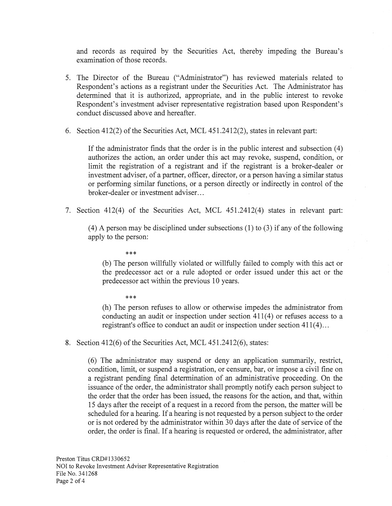and records as required by the Securities Act, thereby impeding the Bureau's examination of those records.

- 5. The Director of the Bureau ("Administrator") has reviewed materials related to Respondent's actions as a registrant under the Securities Act. The Administrator has determined that it is authorized, appropriate, and in the public interest to revoke Respondent's investment adviser representative registration based upon Respondent's conduct discussed above and hereafter.
- 6. Section 412(2) of the Securities Act, MCL 451.2412(2), states in relevant part:

If the administrator finds that the order is in the public interest and subsection  $(4)$ authorizes the action, an order under this act may revoke, suspend, condition, or limit the registration of a registrant and if the registrant is a broker-dealer or investment adviser, of a partner, officer, director, or a person having a similar status or performing similar functions, or a person directly or indirectly in control of the broker-dealer or investment adviser...

7. Section 412(4) of the Securities Act, MCL 451.2412(4) states in relevant part:

( 4) A person may be disciplined under subsections (1) to (3) if any of the following apply to the person:

\*\*\*

(b) The person willfully violated or willfully failed to comply with this act or the predecessor act or a rule adopted or order issued under this act or the predecessor act within the previous 10 years.

\*\*\*

(h) The person refuses to allow or otherwise impedes the administrator from conducting an audit or inspection under section  $411(4)$  or refuses access to a registrant's office to conduct an audit or inspection under section 411(4)...

8. Section 412(6) of the Securities Act, MCL 451.2412(6), states:

(6) The administrator may suspend or deny an application summarily, restrict, condition, limit, or suspend a registration, or censure, bar, or impose a civil fine on a registrant pending final determination of an administrative proceeding. On the issuance of the order, the administrator shall promptly notify each person subject to the order that the order has been issued, the reasons for the action, and that, within 15 days after the receipt of a request in a record from the person, the matter will be scheduled for a hearing. If a hearing is not requested by a person subject to the order or is not ordered by the administrator within 30 days after the date of service of the order, the order is final. If a hearing is requested or ordered, the administrator, after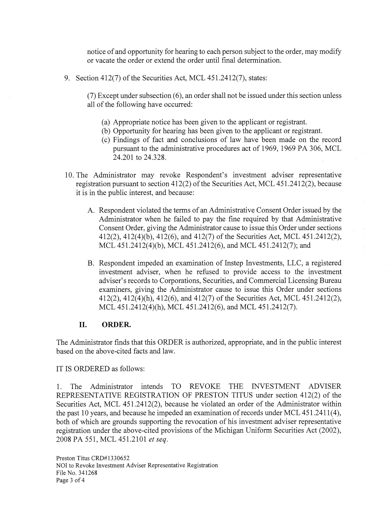notice of and opportunity for hearing to each person subject to the order, may modify or vacate the order or extend the order until final determination.

9. Section 412(7) of the Securities Act, MCL 451.2412(7), states:

 $(7)$  Except under subsection  $(6)$ , an order shall not be issued under this section unless all of the following have occurred:

- (a) Appropriate notice has been given to the applicant or registrant.
- (b) Opportunity for hearing has been given to the applicant or registrant.
- ( c) Findings of fact and conclusions of law have been made on the record pursuant to the administrative procedures act of 1969, 1969 PA 306, MCL 24.201 to 24.328.
- 10. The Administrator may revoke Respondent's investment adviser representative registration pursuant to section 412(2) of the Securities Act, MCL 451.2412(2), because it is in the public interest, and because:
	- A. Respondent violated the terms of an Administrative Consent Order issued by the Administrator when he failed to pay the fine required by that Administrative Consent Order, giving the Administrator cause to issue this Order under sections 412(2), 412(4)(b), 412(6), and 412(7) of the Securities Act, MCL 451.2412(2), MCL 451.2412(4)(b), MCL 451.2412(6), and MCL 451.2412(7); and
	- B. Respondent impeded an examination of Instep Investments, LLC, a registered investment adviser, when he refused to provide access to the investment adviser's records to Corporations, Securities, and Commercial Licensing Bureau examiners, giving the Administrator cause to issue this Order under sections 412(2), 412(4)(h), 412(6), and 412(7) of the Securities Act, MCL 451.2412(2), MCL 451.2412(4)(h), MCL 451.2412(6), and MCL 451.2412(7).

### **II. ORDER.**

The Administrator finds that this ORDER is authorized, appropriate, and in the public interest based on the above-cited facts and law.

IT IS ORDERED as follows:

1. The Administrator intends TO REVOKE THE INVESTMENT ADVISER REPRESENTATIVE REGISTRATION OF PRESTON TITUS under section 412(2) of the Securities Act, MCL 451.2412(2), because he violated an order of the Administrator within the past 10 years, and because he impeded an examination of records under MCL 451.2411(4), both of which are grounds supporting the revocation of his investment adviser representative registration under the above-cited provisions of the Michigan Uniform Securities Act (2002), 2008 PA 551, MCL 451.2101 *et seq.*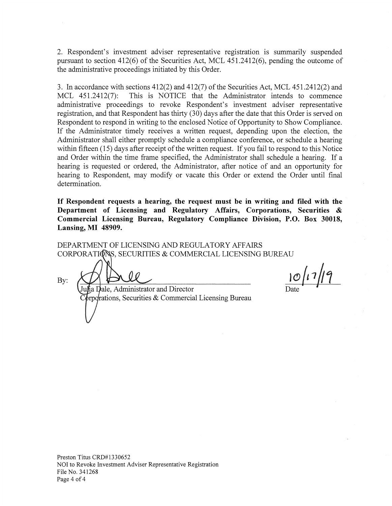2. Respondent's investment adviser representative registration is summarily suspended pursuant to section 412(6) of the Securities Act, MCL 451.2412(6), pending the outcome of the administrative proceedings initiated by this Order.

3. In accordance with sections 412(2) and 412(7) of the Securities Act, MCL 451.2412(2) and MCL 451.2412(7): This is NOTICE that the Administrator intends to commence administrative proceedings to revoke Respondent's investment adviser representative registration, and that Respondent has thirty (30) days after the date that this Order is served on Respondent to respond in writing to the enclosed Notice of Opportunity to Show Compliance. If the Administrator timely receives a written request, depending upon the election, the Administrator shall either promptly schedule a compliance conference, or schedule a hearing within fifteen (15) days after receipt of the written request. If you fail to respond to this Notice and Order within the time frame specified, the Administrator shall schedule a hearing. If a hearing is requested or ordered, the Administrator, after notice of and an opportunity for hearing to Respondent, may modify or vacate this Order or extend the Order until final determination.

**If Respondent requests a hearing, the request must be in writing and filed with the Department of Licensing and Regulatory Affairs, Corporations, Securities** & **Commercial Licensing Bureau, Regulatory Compliance Division, P.O. Box 30018, Lansing, MI 48909.** 

DEPARTMENT OF LICENSING AND REGULATORY AFFAIRS CORPORATIONS, SECURITIES & COMMERCIAL LICENSING BUREAU

By:

Iu $\hat{\mu}$ ale, Administrator and Director  $\delta$ rpotrations, Securities & Commercial Licensing Bureau

 $10/17/19$ 

Preston Titus CRD#1330652 NOI to Revoke Investment Adviser Representative Registration File No. 341268 Page 4 of 4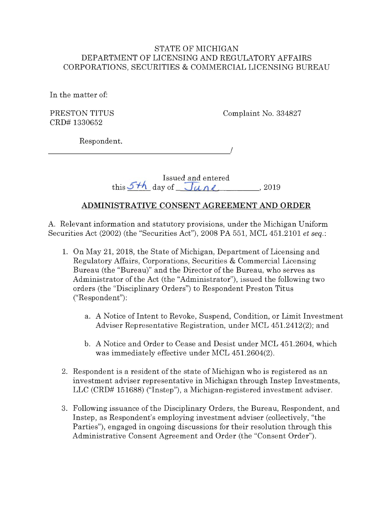# STATE OF MICHIGAN DEPARTMENT OF LICENSING AND REGULATORY AFFAIRS CORPORATIONS, SECURITIES & COMMERCIAL LICENSING BUREAU

In the matter of:

PRESTON TITUS CRD# 1330652

Complaint No. 334827

Respondent.

<sup>I</sup>---------------------

|                        | Issued and entered |       |
|------------------------|--------------------|-------|
| this 5th day of $Junk$ |                    | -2019 |

# **ADMINISTRATIVE CONSENT AGREEMENT AND ORDER**

A. Relevant information and statutory provisions, under the Michigan Uniform Securities Act (2002) (the "Securities Act"), 2008 PA 551, MCL 451.2101 *et seq.:* 

- 1. On May 21, 2018, the State of Michigan, Department of Licensing and Regulatory Affairs, Corporations, Securities & Commercial Licensing Bureau (the "Bureau)" and the Director of the Bureau, who serves as Administrator of the Act (the "Administrator"), issued the following two orders (the "Disciplinary Orders") to Respondent Preston Titus ("Respondent"):
	- a. A Notice of Intent to Revoke, Suspend, Condition, or Limit Investment Adviser Representative Registration, under MCL 451.2412(2); and
	- b. A Notice and Order to Cease and Desist under MCL 451.2604, which was immediately effective under MCL 451.2604(2).
- 2. Respondent is a resident of the state of Michigan who is registered as an investment adviser representative in Michigan through Instep Investments, LLC (CRD# 151688) ("Instep"), a Michigan-registered investment adviser.
- 3. Following issuance of the Disciplinary Orders, the Bureau, Respondent, and Instep, as Respondent's employing investment adviser (collectively, "the Parties"), engaged in ongoing discussions for their resolution through this Administrative Consent Agreement and Order (the "Consent Order").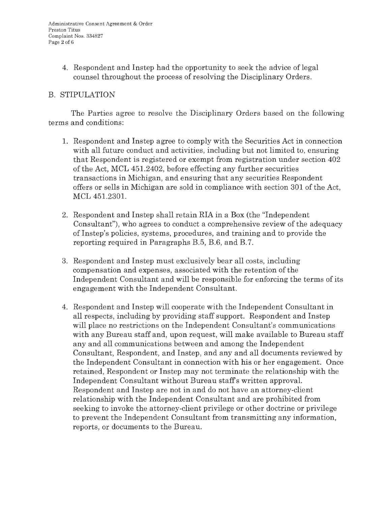4. Respondent and Instep had the opportunity to seek the advice of legal counsel throughout the process of resolving the Disciplinary Orders.

# B. STIPULATION

The Parties agree to resolve the Disciplinary Orders based on the following terms and conditions:

- 1. Respondent and Instep agree to comply with the Securities Act in connection with all future conduct and activities, including but not limited to, ensuring that Respondent is registered or exempt from registration under section 402 of the Act, MCL 451.2402, before effecting any further securities transactions in Michigan, and ensuring that any securities Respondent offers or sells in Michigan are sold in compliance with section 301 of the Act, MCL 451.2301.
- 2. Respondent and Instep shall retain RIA in a Box (the "Independent Consultant"), who agrees to conduct a comprehensive review of the adequacy of Instep's policies, systems, procedures, and training and to provide the reporting required in Paragraphs B.5, B.6, and B.7.
- 3. Respondent and Instep must exclusively bear all costs, including compensation and expenses, associated with the retention of the Independent Consultant and will be responsible for enforcing the terms of its engagement with the Independent Consultant.
- 4. Respondent and Instep will cooperate with the Independent Consultant in all respects, including by providing staff support. Respondent and Instep will place no restrictions on the Independent Consultant's communications with any Bureau staff and, upon request, will make available to Bureau staff any and all communications between and among the Independent Consultant, Respondent, and Instep, and any and all documents reviewed by the Independent Consultant in connection with his or her engagement. Once retained, Respondent or Instep may not terminate the relationship with the Independent Consultant without Bureau staffs written approval. Respondent and Instep are not in and do not have an attorney-client relationship with the Independent Consultant and are prohibited from seeking to invoke the attorney-client privilege or other doctrine or privilege to prevent the Independent Consultant from transmitting any information, reports, or documents to the Bureau.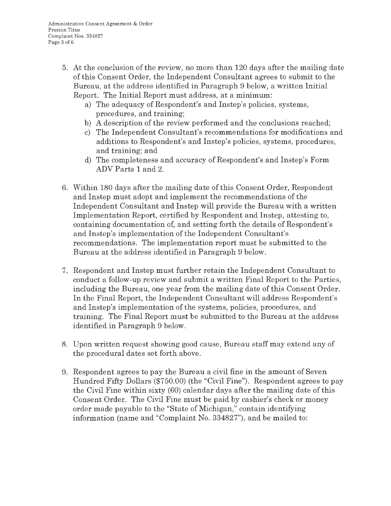- 5. At the conclusion of the review, no more than 120 days after the mailing date of this Consent Order, the Independent Consultant agrees to submit to the Bureau, at the address identified in Paragraph 9 below, a written Initial Report. The Initial Report must address, at a minimum:
	- a) The adequacy of Respondent's and Instep's policies, systems, procedures, and training;
	- b) A description of the review performed and the conclusions reached;
	- c) The Independent Consultant's recommendations for modifications and additions to Respondent's and Instep's policies, systems, procedures, and training; and
	- d) The completeness and accuracy of Respondent's and Instep's Form ADV Parts 1 and 2.
- 6. Within 180 days after the mailing date of this Consent Order, Respondent and Instep must adopt and implement the recommendations of the Independent Consultant and Instep will provide the Bureau with a written Implementation Report, certified by Respondent and Instep, attesting to, containing documentation of, and setting forth the details of Respondent's and Instep's implementation of the Independent Consultant's recommendations. The implementation report must be submitted to the Bureau at the address identified in Paragraph 9 below.
- 7. Respondent and Instep must further retain the Independent Consultant to conduct a follow-up review and submit a written Final Report to the Parties, including the Bureau, one year from the mailing date of this Consent Order. In the Final Report, the Independent Consultant will address Respondent's and Instep's implementation of the systems, policies, procedures, and training. The Final Report must be submitted to the Bureau at the address identified in Paragraph 9 below.
- 8. Upon written request showing good cause, Bureau staff may extend any of the procedural dates set forth above.
- 9. Respondent agrees to pay the Bureau a civil fine in the amount of Seven Hundred Fifty Dollars (\$750.00) (the "Civil Fine"). Respondent agrees to pay the Civil Fine within sixty (60) calendar days after the mailing date of this Consent Order. The Civil Fine must be paid by cashier's check or money order made payable to the "State of Michigan," contain identifying information (name and "Complaint No. 334827"), and be mailed to: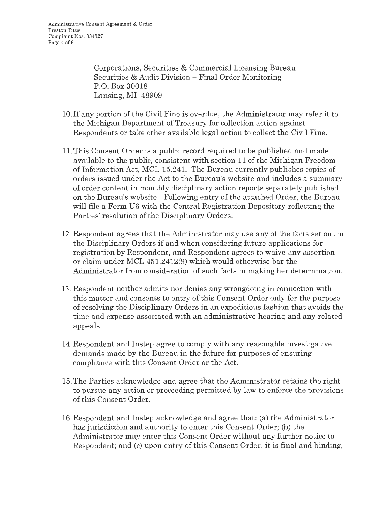Corporations, Securities & Commercial Licensing Bureau Securities & Audit Division - Final Order Monitoring P.O. Box 30018 Lansing, MI 48909

- 10. If any portion of the Civil Fine is overdue, the Administrator may refer it to the Michigan Department of Treasury for collection action against Respondents or take other available legal action to collect the Civil Fine.
- 11. This Consent Order is a public record required to be published and made available to the public, consistent with section 11 of the Michigan Freedom of Information Act, MCL 15.241. The Bureau currently publishes copies of orders issued under the Act to the Bureau's website and includes a summary of order content in monthly disciplinary action reports separately published on the Bureau's website. Following entry of the attached Order, the Bureau will file a Form U6 with the Central Registration Depository reflecting the Parties' resolution of the Disciplinary Orders.
- 12. Respondent agrees that the Administrator may use any of the facts set out in the Disciplinary Orders if and when considering future applications for registration by Respondent, and Respondent agrees to waive any assertion or claim under MCL 451.2412(9) which would otherwise bar the Administrator from consideration of such facts in making her determination.
- 13. Respondent neither admits nor denies any wrongdoing in connection with this matter and consents to entry of this Consent Order only for the purpose of resolving the Disciplinary Orders in an expeditious fashion that avoids the time and expense associated with an administrative hearing and any related appeals.
- 14.Respondent and Instep agree to comply with any reasonable investigative demands made by the Bureau in the future for purposes of ensuring compliance with this Consent Order or the Act.
- 15. The Parties acknowledge and agree that the Administrator retains the right to pursue any action or proceeding permitted by law to enforce the provisions of this Consent Order.
- 16.Respondent and Instep acknowledge and agree that: (a) the Administrator has jurisdiction and authority to enter this Consent Order; (b) the Administrator may enter this Consent Order without any further notice to Respondent; and (c) upon entry of this Consent Order, it is final and binding,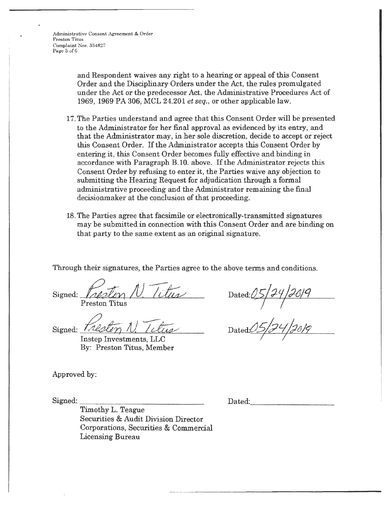Administrative Consent, Agreement & Order Preston Titus Complaint Nos. 334827 Page 5 of 6

> and Respondent waives any right to a hearing or appeal of this Consent Order and the Disciplinary Orders under the Act, the rules promulgated under the Act or the predecessor Act, the Administrative Procedures Act of 1969, 1969 PA 306, MCL 24.201 *et seq.,* or other applicable law.

- 17. The Parties understand and agree that this Consent Order will be presented to the Administrator for her final approval as evidenced by its entry, and that the Administrator may, in her sole discretion, decide to accept or reject this Consent Order. If the Administrator accepts this Consent Order by entering it, this Consent Order becomes fully effective and binding in accordance with Paragraph B.10. above. If the Administrator rejects this Consent Order by refusing to enter it, the Parties waive any objection to submitting the Hearing Request for adjudication through a formal administrative proceeding and the Administrator remaining the final decisionmaker at the conclusion of that proceeding.
- 18. The Parties agree that facsimile or electronically-transmitted signatures may be submitted in connection with this Consent Order and are binding on that party to the same extent as an original signature.

Through their signatures, the Parties agree to the above terms and conditions.<br>Signed: <u>Freston Titus</u> Dated: 05/<del>24</del>/2019 Preston Titus

Signed:  $\frac{1}{4}$ Preston N. 7 N. Tetus

By: Preston Titus, Member

Approved by:

Signed: \_\_\_\_\_\_\_\_\_\_\_\_\_ \_

Dated:*05/<del>2</del>4/26/9* 

Dated:05/*24/28/9* 

Dated: \_\_\_\_\_\_\_\_ \_

Timothy L. Teague Securities & Audit Division Director Corporations, Securities & Commercial Licensing Bureau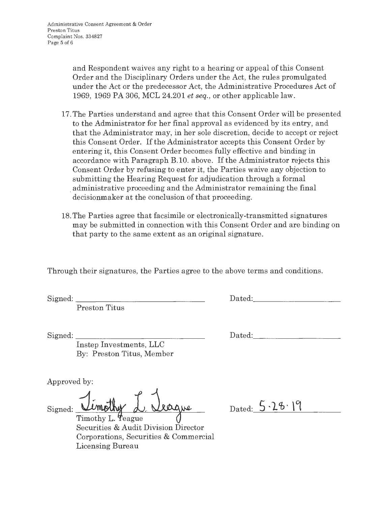and Respondent waives any right to a hearing or appeal of this Consent Order and the Disciplinary Orders under the Act, the rules promulgated under the Act or the predecessor Act, the Administrative Procedures Act of 1969, 1969 PA 306, MCL 24.201 *et seq.,* or other applicable law.

- 17. The Parties understand and agree that this Consent Order will be presented to the Administrator for her final approval as evidenced by its entry, and that the Administrator may, in her sole discretion, decide to accept or reject this Consent Order. If the Administrator accepts this Consent Order by entering it, this Consent Order becomes fully effective and binding in accordance with Paragraph B.10. above. If the Administrator rejects this Consent Order by refusing to enter it, the Parties waive any objection to submitting the Hearing Request for adjudication through a formal . administrative proceeding and the Administrator remaining the final decisionmaker at the conclusion of that proceeding.
- 18. The Parties agree that facsimile or electronically-transmitted signatures may be submitted in connection with this Consent Order and are binding on that party to the same extent as an original signature.

Through their signatures, the Parties agree to the above terms and conditions.

Signed:

Preston Titus

Dated:

Signed: \_\_\_\_\_\_\_\_\_\_\_\_\_\_ \_

Instep Investments, LLC By: Preston Titus, Member

Approved by:

Signed: Umothy d. Veague

Timothy L. Teague Securities & Audit Division Director Corporations, Securities & Commercial Licensing Bureau

Dated:  $5.26.19$ 

Dated: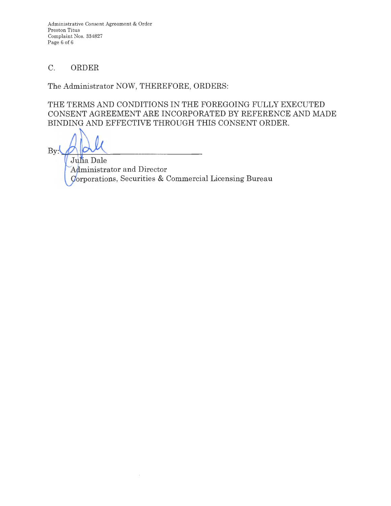Administrative Consent Agreement & Order Preston Titus Complaint Nos. 334827 Page 6 of 6

# C. ORDER

The Administrator NOW, THEREFORE, ORDERS:

THE TERMS AND CONDITIONS IN THE FOREGOING FULLY EXECUTED CONSENT AGREEMENT ARE INCORPORATED BY REFERENCE AND MADE BINDING AND EFFECTIVE THROUGH THIS CONSENT ORDER.

 $By:$ 

Julia Dale Administrator and Director Gorporations, Securities & Commercial Licensing Bureau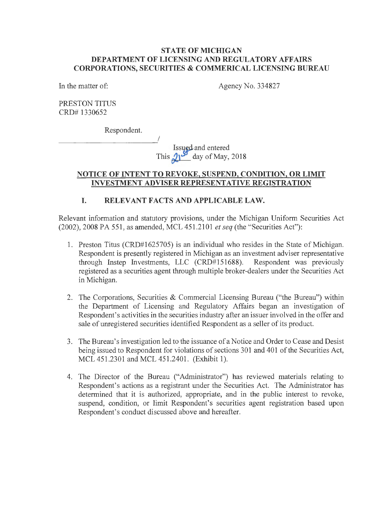### **STATE OF MICHIGAN DEPARTMENT OF LICENSING AND REGULATORY AFFAIRS CORPORATIONS, SECURITIES & COMMERICAL LICENSING BUREAU**

In the matter of:

Agency No. 334827

PRESTON TITUS CRD# 1330652

Respondent.

Issued and entered This  $\mathcal{Q}_1$ <sup>3</sup> day of May, 2018

## **NOTICE OF INTENT TO REVOKE, SUSPEND, CONDITION, OR LIMIT INVESTMENT ADVISER REPRESENTATIVE REGISTRATION**

# **I. RELEVANT FACTS AND APPLICABLE LAW.**

Relevant information and statutory provisions, under the Michigan Uniform Securities Act (2002), 2008 PA 551, as amended, MCL 451.2101 *et seq* (the "Securities Act"):

- 1. Preston Titus (CRD#1625705) is an individual who resides in the State of Michigan. Respondent is presently registered in Michigan as an investment adviser representative through Instep Investments, LLC (CRD#151688). Respondent was previously registered as a securities agent through multiple broker-dealers under the Securities Act in Michigan.
- 2. The Corporations, Securities & Commercial Licensing Bureau ("the Bureau") within the Department of Licensing and Regulatory Affairs began an investigation of Respondent's activities in the securities industry after an issuer involved in the offer and sale of unregistered securities identified Respondent as a seller of its product.
- 3. The Bureau's investigation led to the issuance of a Notice and Order to Cease and Desist being issued to Respondent for violations of sections 301 and 401 of the Securities Act, MCL 451.2301 and MCL 451.2401. (Exhibit 1).
- 4. The Director of the Bureau ("Administrator") has reviewed materials relating to Respondent's actions as a registrant under the Securities Act. The Administrator has determined that it is authorized, appropriate, and in the public interest to revoke, suspend, condition, or limit Respondent's securities agent registration based upon Respondent's conduct discussed above and hereafter.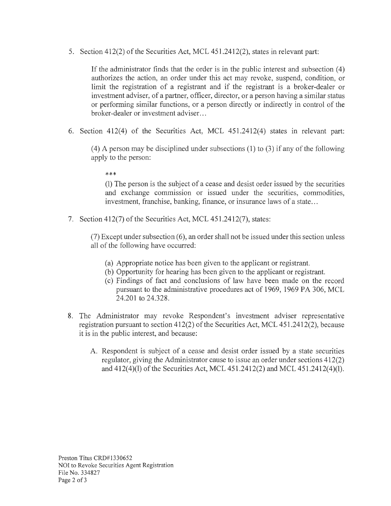5. Section 412(2) of the Securities Act, MCL 451.2412(2), states in relevant part:

If the administrator finds that the order is in the public interest and subsection (4) authorizes the action, an order under this act may revoke, suspend, condition, or limit the registration of a registrant and if the registrant is a broker-dealer or investment adviser, of a partner, officer, director, or a person having a similar status or performing similar functions, or a person directly or indirectly in control of the broker-dealer or investment adviser...

6. Section 412(4) of the Securities Act, MCL 451.2412(4) states in relevant part:

( 4) A person may be disciplined under subsections (1) to (3) if any of the following apply to the person:

\*\*\*

(1) The person is the subject of a cease and desist order issued by the securities and exchange commission or issued under the securities, commodities, investment, franchise, banking, finance, or insurance laws of a state ...

7. Section 412(7) of the Securities Act, MCL 451.2412(7), states:

(7) Except under subsection (6), an order shall not be issued under this section unless all of the following have occurred:

- (a) Appropriate notice has been given to the applicant or registrant.
- (b) Opportunity for hearing has been given to the applicant or registrant.
- ( c) Findings of fact and conclusions of law have been made on the record pursuant to the administrative procedures act of 1969, 1969 PA 306, MCL 24.201 to 24.328.
- 8. The Administrator may revoke Respondent's investment adviser representative registration pursuant to section 412(2) of the Securities Act, MCL 451.2412(2), because it is in the public interest, and because:
	- A. Respondent is subject of a cease and desist order issued by a state securities regulator, giving the Administrator cause to issue an order under sections 412(2) and 412(4)(1) of the Securities Act, MCL 451.2412(2) and MCL 451.2412(4)(1).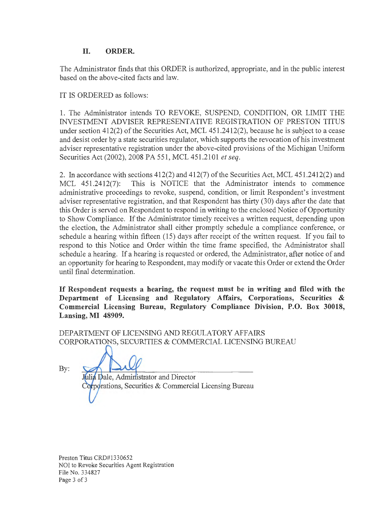# **II. ORDER.**

The Administrator finds that this ORDER is authorized, appropriate, and in the public interest based on the above-cited facts and law.

IT IS ORDERED as follows:

1. The Administrator intends TO REVOKE, SUSPEND, CONDITION, OR LIMIT THE INVESTMENT ADVISER REPRESENTATIVE REGISTRATION OF PRESTON TITUS under section 412(2) of the Securities Act, MCL 451.2412(2), because he is subject to a cease and desist order by a state securities regulator, which supports the revocation of his investment adviser representative registration under the above-cited provisions of the Michigan Uniform Securities Act (2002), 2008 PA 551, MCL 451.2101 *et seq.* 

2. In accordance with sections 412(2) and 412(7) of the Securities Act, MCL 451.2412(2) and MCL 451.2412(7): This is NOTICE that the Administrator intends to commence administrative proceedings to revoke, suspend, condition, or limit Respondent's investment adviser representative registration, and that Respondent has thirty (30) days after the date that this Order is served on Respondent to respond in writing to the enclosed Notice of Opportunity to Show Compliance. If the Administrator timely receives a written request, depending upon the election, the Administrator shall either promptly schedule a compliance conference, or schedule a hearing within fifteen (15) days after receipt of the written request. If you fail to respond to this Notice and Order within the time frame specified, the Administrator shall schedule a hearing. If a hearing is requested or ordered, the Administrator, after notice of and an opportunity for hearing to Respondent, may modify or vacate this Order or extend the Order until final determination.

**If Respondent requests a hearing, the request must be in writing and filed with the Department of Licensing and Regulatory Affairs, Corporations, Securities** & **Commercial Licensing Bureau, Regulatory Compliance Division, P.O. Box 30018, Lansing, MI 48909.** 

DEPARTMENT OF LICENSING AND REGULATORY AFFAIRS CORPORATIONS, SECURITIES & COMMERCIAL LICENSING BUREAU

By:

Julia Dale, Administrator and Director Corporations, Securities & Commercial Licensing Bureau

Preston Titus CRD#l330652 NOI to Revoke Securities Agent Registration File No. 334827 Page 3 of 3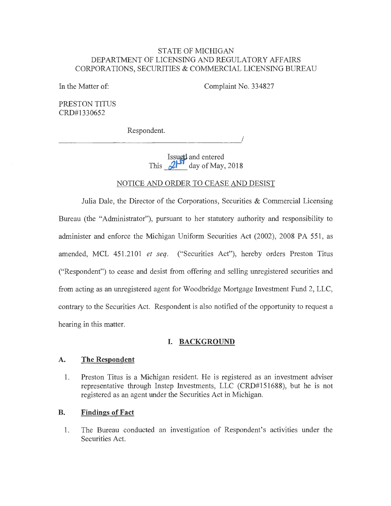#### STATE OF MICHIGAN DEPARTMENT OF LICENSING AND REGULATORY AFFAIRS CORPORATIONS, SECURITIES & COMMERCIAL LICENSING BUREAU

In the Matter of:

Complaint No. 334827

PRESTON TITUS CRD#1330652

Respondent.

Respondent. **Issued** and entered

This  $2^{15}$  day of May, 2018

#### NOTICE AND ORDER TO CEASE AND DESIST

Julia Dale, the Director of the Corporations, Securities & Commercial Licensing Bureau (the "Administrator"), pursuant to her statutory authority and responsibility to administer and enforce the Michigan Uniform Securities Act (2002), 2008 PA 551, as amended, MCL 451.2101 *et seq.* ("Securities Act"), hereby orders Preston Titus ("Respondent") to cease and desist from offering and selling unregistered securities and from acting as an unregistered agent for Woodbridge Mortgage Investment Fund 2, LLC, contrary to the Securities Act. Respondent is also notified of the opportunity to request a hearing in this matter.

#### **I. BACKGROUND**

#### **A. The Respondent**

1. Preston Titus is a Michigan resident. He is registered as an investment adviser representative through Instep Investments, LLC (CRD#151688), but he is not registered as an agent under the Securities Act in Michigan.

#### **B. Findings of Fact**

1. The Bureau conducted an investigation of Respondent's activities under the Securities Act.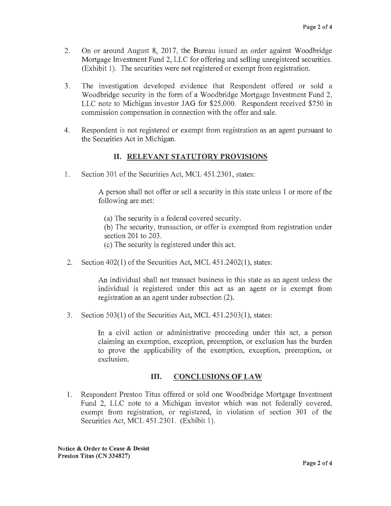- 2. On or around August 8, 2017, the Bureau issued an order against Woodbridge Mortgage Investment Fund 2, LLC for offering and selling unregistered securities. (Exhibit 1). The securities were not registered or exempt from registration.
- 3. The investigation developed evidence that Respondent offered or sold a Woodbridge security in the form of a Woodbridge Mortgage Investment Fund 2, LLC note to Michigan investor JAG for \$25,000. Respondent received \$750 in commission compensation in connection with the offer and sale.
- 4. Respondent is not registered or exempt from registration as an agent pursuant to the Securities Act in Michigan.

# II. **RELEVANT STATUTORY PROVISIONS**

1. Section 301 of the Securities Act, MCL 451.2301, states:

A person shall not offer or sell a security in this state unless 1 or more of the following are met:

- (a) The security is a federal covered security.
- (b) The security, transaction, or offer is exempted from registration under section 201 to 203.
- ( c) The security is registered under this act.
- 2. Section 402(1) of the Securities Act, MCL 451.2402(1), states:

An individual shall not transact business in this state as an agent unless the individual is registered under this act as an agent or is exempt from registration as an agent under subsection (2).

3. Section 503(1) of the Securities Act, MCL 451.2503(1), states:

In a civil action or administrative proceeding under this act, a person claiming an exemption, exception, preemption, or exclusion has the burden to prove the applicability of the exemption, exception, preemption, or exclusion.

### **Ill. CONCLUSIONS OF LAW**

1. Respondent Preston Titus offered or sold one Woodbridge Mortgage Investment Fund 2, LLC note to a Michigan investor which was not federally covered, exempt from registration, or registered, in violation of section 301 of the Securities Act, MCL 451.2301. (Exhibit 1).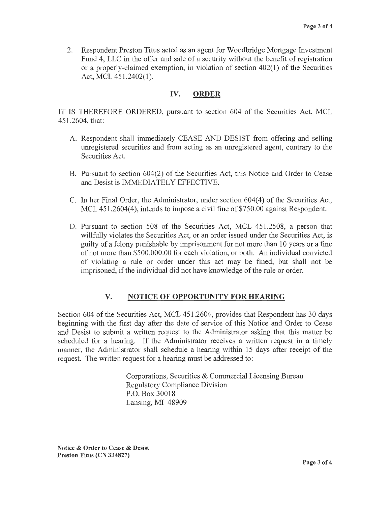2. Respondent Preston Titus acted as an agent for Woodbridge Mortgage Investment Fund 4, LLC in the offer and sale of a security without the benefit of registration or a properly-claimed exemption, in violation of section 402(1) of the Securities Act, MCL 451.2402(1).

# **IV. ORDER**

IT IS THEREFORE ORDERED, pursuant to section 604 of the Securities Act, MCL 451.2604, that:

- A. Respondent shall immediately CEASE AND DESIST from offering and selling unregistered securities and from acting as an unregistered agent, contrary to the Securities Act.
- B. Pursuant to section 604(2) of the Securities Act, this Notice and Order to Cease and Desist is IMMEDIATELY EFFECTIVE.
- C. In her Final Order, the Administrator, under section 604(4) of the Securities Act, MCL 451.2604(4), intends to impose a civil fine of \$750.00 against Respondent.
- D. Pursuant to section 508 of the Securities Act, MCL 451.2508, a person that willfully violates the Securities Act, or an order issued under the Securities Act, is guilty of a felony punishable by imprisonment for not more than 10 years or a fine of not more than \$500,000.00 for each violation, or both. An individual convicted of violating a rule or order under this act may be fined, but shall not be imprisoned, if the individual did not have knowledge of the rule or order.

# **V. NOTICE OF OPPORTUNITY FOR HEARING**

Section 604 of the Securities Act, MCL 451.2604, provides that Respondent has 30 days beginning with the first day after the date of service of this Notice and Order to Cease and Desist to submit a written request to the Administrator asking that this matter be scheduled for a hearing. If the Administrator receives a written request in a timely manner, the Administrator shall schedule a hearing within 15 days after receipt of the request. The written request for a hearing must be addressed to:

> Corporations, Securities & Commercial Licensing Bureau Regulatory Compliance Division P.O. Box 30018 Lansing, MI 48909

**Notice** & **Order to Cease** & **Desist Preston Titus (CN 334827)**